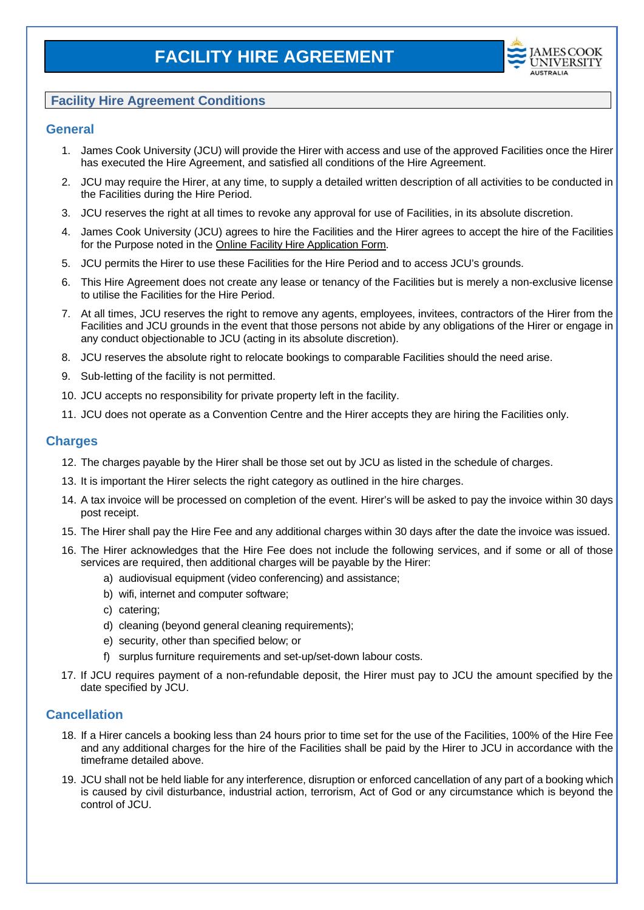

# **Facility Hire Agreement Conditions**

#### **General**

- 1. James Cook University (JCU) will provide the Hirer with access and use of the approved Facilities once the Hirer has executed the Hire Agreement, and satisfied all conditions of the Hire Agreement.
- 2. JCU may require the Hirer, at any time, to supply a detailed written description of all activities to be conducted in the Facilities during the Hire Period.
- 3. JCU reserves the right at all times to revoke any approval for use of Facilities, in its absolute discretion.
- 4. James Cook University (JCU) agrees to hire the Facilities and the Hirer agrees to accept the hire of the Facilities for the Purpose noted in the Online Facility Hire Application Form.
- 5. JCU permits the Hirer to use these Facilities for the Hire Period and to access JCU's grounds.
- 6. This Hire Agreement does not create any lease or tenancy of the Facilities but is merely a non-exclusive license to utilise the Facilities for the Hire Period.
- 7. At all times, JCU reserves the right to remove any agents, employees, invitees, contractors of the Hirer from the Facilities and JCU grounds in the event that those persons not abide by any obligations of the Hirer or engage in any conduct objectionable to JCU (acting in its absolute discretion).
- 8. JCU reserves the absolute right to relocate bookings to comparable Facilities should the need arise.
- 9. Sub-letting of the facility is not permitted.
- 10. JCU accepts no responsibility for private property left in the facility.
- 11. JCU does not operate as a Convention Centre and the Hirer accepts they are hiring the Facilities only.

#### **Charges**

- 12. The charges payable by the Hirer shall be those set out by JCU as listed in the schedule of charges.
- 13. It is important the Hirer selects the right category as outlined in the hire charges.
- 14. A tax invoice will be processed on completion of the event. Hirer's will be asked to pay the invoice within 30 days post receipt.
- 15. The Hirer shall pay the Hire Fee and any additional charges within 30 days after the date the invoice was issued.
- 16. The Hirer acknowledges that the Hire Fee does not include the following services, and if some or all of those services are required, then additional charges will be payable by the Hirer:
	- a) audiovisual equipment (video conferencing) and assistance;
	- b) wifi, internet and computer software;
	- c) catering;
	- d) cleaning (beyond general cleaning requirements);
	- e) security, other than specified below; or
	- f) surplus furniture requirements and set-up/set-down labour costs.
- 17. If JCU requires payment of a non-refundable deposit, the Hirer must pay to JCU the amount specified by the date specified by JCU.

## **Cancellation**

- 18. If a Hirer cancels a booking less than 24 hours prior to time set for the use of the Facilities, 100% of the Hire Fee and any additional charges for the hire of the Facilities shall be paid by the Hirer to JCU in accordance with the timeframe detailed above.
- 19. JCU shall not be held liable for any interference, disruption or enforced cancellation of any part of a booking which is caused by civil disturbance, industrial action, terrorism, Act of God or any circumstance which is beyond the control of JCU.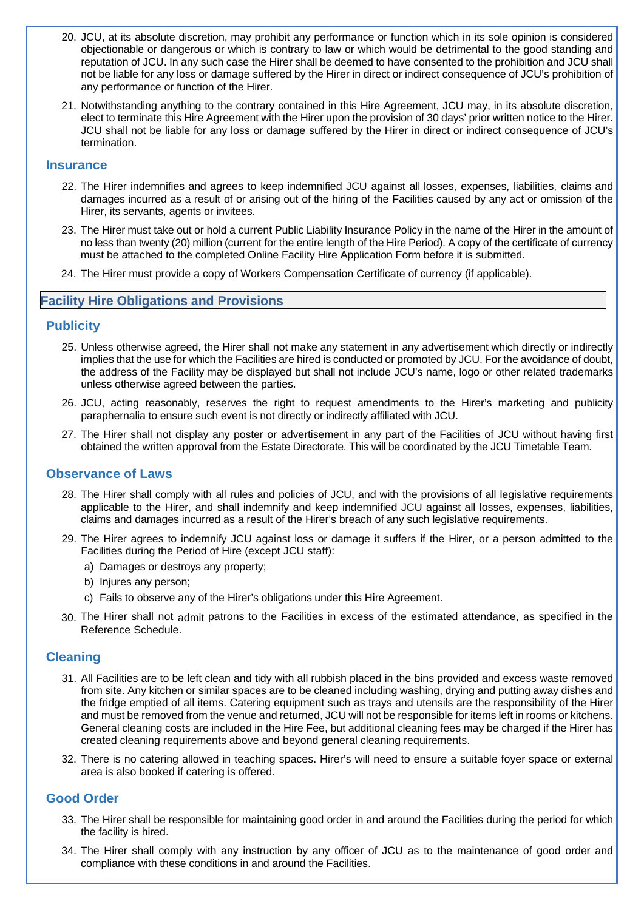- 20. JCU, at its absolute discretion, may prohibit any performance or function which in its sole opinion is considered objectionable or dangerous or which is contrary to law or which would be detrimental to the good standing and reputation of JCU. In any such case the Hirer shall be deemed to have consented to the prohibition and JCU shall not be liable for any loss or damage suffered by the Hirer in direct or indirect consequence of JCU's prohibition of any performance or function of the Hirer.
- 21. Notwithstanding anything to the contrary contained in this Hire Agreement, JCU may, in its absolute discretion, elect to terminate this Hire Agreement with the Hirer upon the provision of 30 days' prior written notice to the Hirer. JCU shall not be liable for any loss or damage suffered by the Hirer in direct or indirect consequence of JCU's termination.

#### **Insurance**

- 22. The Hirer indemnifies and agrees to keep indemnified JCU against all losses, expenses, liabilities, claims and damages incurred as a result of or arising out of the hiring of the Facilities caused by any act or omission of the Hirer, its servants, agents or invitees.
- 23. The Hirer must take out or hold a current Public Liability Insurance Policy in the name of the Hirer in the amount of no less than twenty (20) million (current for the entire length of the Hire Period). A copy of the certificate of currency must be attached to the completed Online Facility Hire Application Form before it is submitted.
- 24. The Hirer must provide a copy of Workers Compensation Certificate of currency (if applicable).

#### **Facility Hire Obligations and Provisions**

## **Publicity**

- 25. Unless otherwise agreed, the Hirer shall not make any statement in any advertisement which directly or indirectly implies that the use for which the Facilities are hired is conducted or promoted by JCU. For the avoidance of doubt, the address of the Facility may be displayed but shall not include JCU's name, logo or other related trademarks unless otherwise agreed between the parties.
- 26. JCU, acting reasonably, reserves the right to request amendments to the Hirer's marketing and publicity paraphernalia to ensure such event is not directly or indirectly affiliated with JCU.
- 27. The Hirer shall not display any poster or advertisement in any part of the Facilities of JCU without having first obtained the written approval from the Estate Directorate. This will be coordinated by the JCU Timetable Team.

## **Observance of Laws**

- 28. The Hirer shall comply with all rules and policies of JCU, and with the provisions of all legislative requirements applicable to the Hirer, and shall indemnify and keep indemnified JCU against all losses, expenses, liabilities, claims and damages incurred as a result of the Hirer's breach of any such legislative requirements.
- 29. The Hirer agrees to indemnify JCU against loss or damage it suffers if the Hirer, or a person admitted to the Facilities during the Period of Hire (except JCU staff):
	- a) Damages or destroys any property;
	- b) Injures any person;
	- c) Fails to observe any of the Hirer's obligations under this Hire Agreement.
- 30. The Hirer shall not admit patrons to the Facilities in excess of the estimated attendance, as specified in the Reference Schedule.

#### **Cleaning**

- 31. All Facilities are to be left clean and tidy with all rubbish placed in the bins provided and excess waste removed from site. Any kitchen or similar spaces are to be cleaned including washing, drying and putting away dishes and the fridge emptied of all items. Catering equipment such as trays and utensils are the responsibility of the Hirer and must be removed from the venue and returned, JCU will not be responsible for items left in rooms or kitchens. General cleaning costs are included in the Hire Fee, but additional cleaning fees may be charged if the Hirer has created cleaning requirements above and beyond general cleaning requirements.
- 32. There is no catering allowed in teaching spaces. Hirer's will need to ensure a suitable foyer space or external area is also booked if catering is offered.

## **Good Order**

- 33. The Hirer shall be responsible for maintaining good order in and around the Facilities during the period for which the facility is hired.
- 34. The Hirer shall comply with any instruction by any officer of JCU as to the maintenance of good order and compliance with these conditions in and around the Facilities.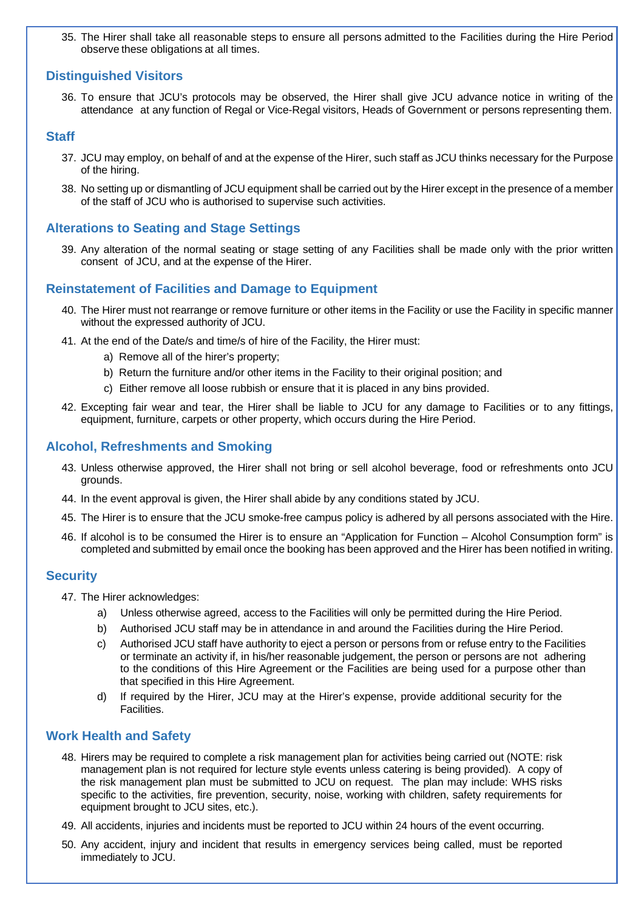35. The Hirer shall take all reasonable steps to ensure all persons admitted to the Facilities during the Hire Period observe these obligations at all times.

## **Distinguished Visitors**

36. To ensure that JCU's protocols may be observed, the Hirer shall give JCU advance notice in writing of the attendance at any function of Regal or Vice-Regal visitors, Heads of Government or persons representing them.

### **Staff**

- 37. JCU may employ, on behalf of and at the expense of the Hirer, such staff as JCU thinks necessary for the Purpose of the hiring.
- 38. No setting up or dismantling of JCU equipment shall be carried out by the Hirer except in the presence of a member of the staff of JCU who is authorised to supervise such activities.

# **Alterations to Seating and Stage Settings**

39. Any alteration of the normal seating or stage setting of any Facilities shall be made only with the prior written consent of JCU, and at the expense of the Hirer.

# **Reinstatement of Facilities and Damage to Equipment**

- 40. The Hirer must not rearrange or remove furniture or other items in the Facility or use the Facility in specific manner without the expressed authority of JCU.
- 41. At the end of the Date/s and time/s of hire of the Facility, the Hirer must:
	- a) Remove all of the hirer's property;
	- b) Return the furniture and/or other items in the Facility to their original position; and
	- c) Either remove all loose rubbish or ensure that it is placed in any bins provided.
- 42. Excepting fair wear and tear, the Hirer shall be liable to JCU for any damage to Facilities or to any fittings, equipment, furniture, carpets or other property, which occurs during the Hire Period.

#### **Alcohol, Refreshments and Smoking**

- 43. Unless otherwise approved, the Hirer shall not bring or sell alcohol beverage, food or refreshments onto JCU grounds.
- 44. In the event approval is given, the Hirer shall abide by any conditions stated by JCU.
- 45. The Hirer is to ensure that the JCU smoke-free campus policy is adhered by all persons associated with the Hire.
- 46. If alcohol is to be consumed the Hirer is to ensure an "Application for Function Alcohol Consumption form" is completed and submitted by email once the booking has been approved and the Hirer has been notified in writing.

#### **Security**

- 47. The Hirer acknowledges:
	- a) Unless otherwise agreed, access to the Facilities will only be permitted during the Hire Period.
	- b) Authorised JCU staff may be in attendance in and around the Facilities during the Hire Period.
	- c) Authorised JCU staff have authority to eject a person or persons from or refuse entry to the Facilities or terminate an activity if, in his/her reasonable judgement, the person or persons are not adhering to the conditions of this Hire Agreement or the Facilities are being used for a purpose other than that specified in this Hire Agreement.
	- d) If required by the Hirer, JCU may at the Hirer's expense, provide additional security for the Facilities.

## **Work Health and Safety**

- 48. Hirers may be required to complete a risk management plan for activities being carried out (NOTE: risk management plan is not required for lecture style events unless catering is being provided). A copy of the risk management plan must be submitted to JCU on request. The plan may include: WHS risks specific to the activities, fire prevention, security, noise, working with children, safety requirements for equipment brought to JCU sites, etc.).
- 49. All accidents, injuries and incidents must be reported to JCU within 24 hours of the event occurring.
- 50. Any accident, injury and incident that results in emergency services being called, must be reported immediately to JCU.